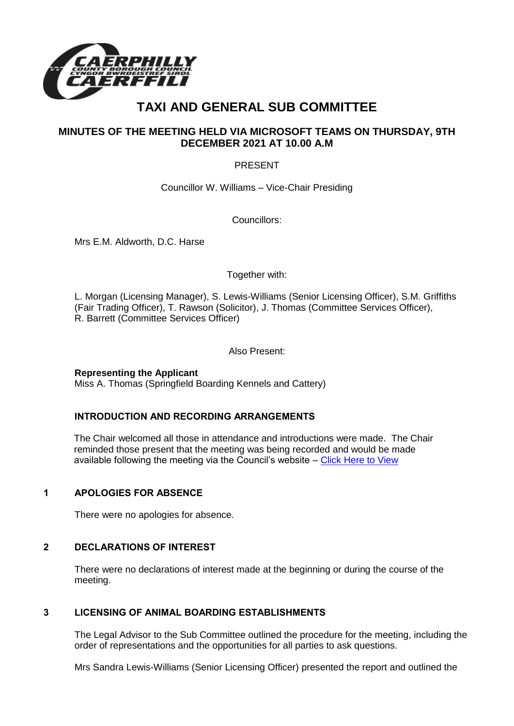

# **TAXI AND GENERAL SUB COMMITTEE**

# **MINUTES OF THE MEETING HELD VIA MICROSOFT TEAMS ON THURSDAY, 9TH DECEMBER 2021 AT 10.00 A.M**

## PRESENT

Councillor W. Williams – Vice-Chair Presiding

Councillors:

Mrs E.M. Aldworth, D.C. Harse

## Together with:

L. Morgan (Licensing Manager), S. Lewis-Williams (Senior Licensing Officer), S.M. Griffiths (Fair Trading Officer), T. Rawson (Solicitor), J. Thomas (Committee Services Officer), R. Barrett (Committee Services Officer)

Also Present:

#### **Representing the Applicant**

Miss A. Thomas (Springfield Boarding Kennels and Cattery)

# **INTRODUCTION AND RECORDING ARRANGEMENTS**

The Chair welcomed all those in attendance and introductions were made. The Chair reminded those present that the meeting was being recorded and would be made available following the meeting via the Council's website – [Click Here to View](https://www.caerphilly.gov.uk/My-Council/Meetings,-agendas,-minutes-and-reports/Council-meetings?lang=en-GB)

#### **1 APOLOGIES FOR ABSENCE**

There were no apologies for absence.

## **2 DECLARATIONS OF INTEREST**

There were no declarations of interest made at the beginning or during the course of the meeting.

#### **3 LICENSING OF ANIMAL BOARDING ESTABLISHMENTS**

The Legal Advisor to the Sub Committee outlined the procedure for the meeting, including the order of representations and the opportunities for all parties to ask questions.

Mrs Sandra Lewis-Williams (Senior Licensing Officer) presented the report and outlined the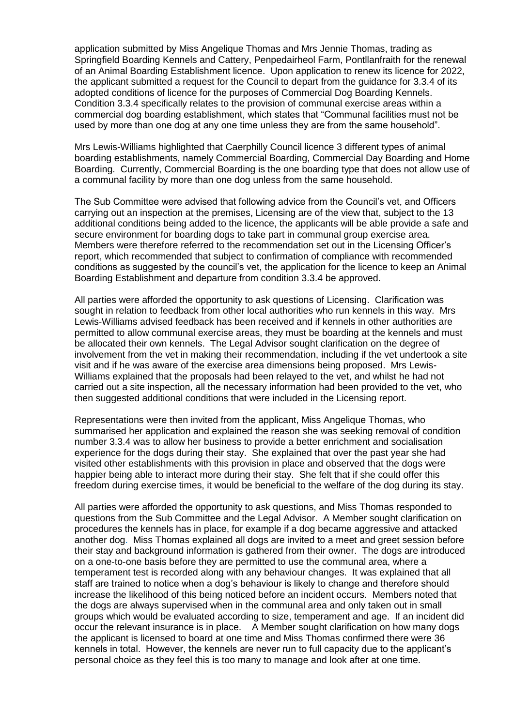application submitted by Miss Angelique Thomas and Mrs Jennie Thomas, trading as Springfield Boarding Kennels and Cattery, Penpedairheol Farm, Pontllanfraith for the renewal of an Animal Boarding Establishment licence. Upon application to renew its licence for 2022, the applicant submitted a request for the Council to depart from the guidance for 3.3.4 of its adopted conditions of licence for the purposes of Commercial Dog Boarding Kennels. Condition 3.3.4 specifically relates to the provision of communal exercise areas within a commercial dog boarding establishment, which states that "Communal facilities must not be used by more than one dog at any one time unless they are from the same household".

Mrs Lewis-Williams highlighted that Caerphilly Council licence 3 different types of animal boarding establishments, namely Commercial Boarding, Commercial Day Boarding and Home Boarding. Currently, Commercial Boarding is the one boarding type that does not allow use of a communal facility by more than one dog unless from the same household.

The Sub Committee were advised that following advice from the Council's vet, and Officers carrying out an inspection at the premises, Licensing are of the view that, subject to the 13 additional conditions being added to the licence, the applicants will be able provide a safe and secure environment for boarding dogs to take part in communal group exercise area. Members were therefore referred to the recommendation set out in the Licensing Officer's report, which recommended that subject to confirmation of compliance with recommended conditions as suggested by the council's vet, the application for the licence to keep an Animal Boarding Establishment and departure from condition 3.3.4 be approved.

All parties were afforded the opportunity to ask questions of Licensing. Clarification was sought in relation to feedback from other local authorities who run kennels in this way. Mrs Lewis-Williams advised feedback has been received and if kennels in other authorities are permitted to allow communal exercise areas, they must be boarding at the kennels and must be allocated their own kennels. The Legal Advisor sought clarification on the degree of involvement from the vet in making their recommendation, including if the vet undertook a site visit and if he was aware of the exercise area dimensions being proposed. Mrs Lewis-Williams explained that the proposals had been relayed to the vet, and whilst he had not carried out a site inspection, all the necessary information had been provided to the vet, who then suggested additional conditions that were included in the Licensing report.

Representations were then invited from the applicant, Miss Angelique Thomas, who summarised her application and explained the reason she was seeking removal of condition number 3.3.4 was to allow her business to provide a better enrichment and socialisation experience for the dogs during their stay. She explained that over the past year she had visited other establishments with this provision in place and observed that the dogs were happier being able to interact more during their stay. She felt that if she could offer this freedom during exercise times, it would be beneficial to the welfare of the dog during its stay.

All parties were afforded the opportunity to ask questions, and Miss Thomas responded to questions from the Sub Committee and the Legal Advisor. A Member sought clarification on procedures the kennels has in place, for example if a dog became aggressive and attacked another dog. Miss Thomas explained all dogs are invited to a meet and greet session before their stay and background information is gathered from their owner. The dogs are introduced on a one-to-one basis before they are permitted to use the communal area, where a temperament test is recorded along with any behaviour changes. It was explained that all staff are trained to notice when a dog's behaviour is likely to change and therefore should increase the likelihood of this being noticed before an incident occurs. Members noted that the dogs are always supervised when in the communal area and only taken out in small groups which would be evaluated according to size, temperament and age. If an incident did occur the relevant insurance is in place. A Member sought clarification on how many dogs the applicant is licensed to board at one time and Miss Thomas confirmed there were 36 kennels in total. However, the kennels are never run to full capacity due to the applicant's personal choice as they feel this is too many to manage and look after at one time.